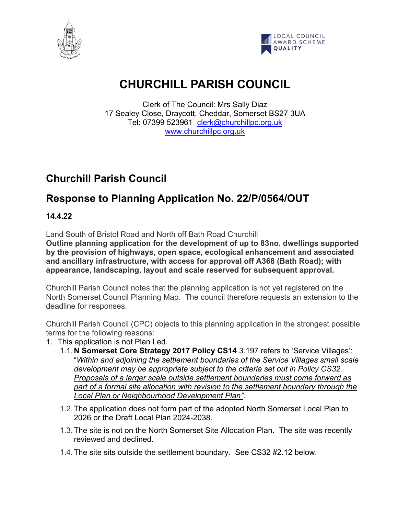



# **CHURCHILL PARISH COUNCIL**

Clerk of The Council: Mrs Sally Diaz 17 Sealey Close, Draycott, Cheddar, Somerset BS27 3UA Tel: 07399 523961 [clerk@churchillpc.org.uk](mailto:clerk@churchillpc.org.uk) [www.churchillpc.org.uk](http://www.churchillpc.org.uk/)

# **Churchill Parish Council**

# **Response to Planning Application No. 22/P/0564/OUT**

**14.4.22**

Land South of Bristol Road and North off Bath Road Churchill

**Outline planning application for the development of up to 83no. dwellings supported by the provision of highways, open space, ecological enhancement and associated and ancillary infrastructure, with access for approval off A368 (Bath Road); with appearance, landscaping, layout and scale reserved for subsequent approval.**

Churchill Parish Council notes that the planning application is not yet registered on the North Somerset Council Planning Map. The council therefore requests an extension to the deadline for responses.

Churchill Parish Council (CPC) objects to this planning application in the strongest possible terms for the following reasons:

- 1. This application is not Plan Led.
	- 1.1.**N Somerset Core Strategy 2017 Policy CS14** 3.197 refers to 'Service Villages': "*Within and adjoining the settlement boundaries of the Service Villages small scale development may be appropriate subject to the criteria set out in Policy CS32. Proposals of a larger scale outside settlement boundaries must come forward as part of a formal site allocation with revision to the settlement boundary through the Local Plan or Neighbourhood Development Plan"*.
	- 1.2.The application does not form part of the adopted North Somerset Local Plan to 2026 or the Draft Local Plan 2024-2038.
	- 1.3.The site is not on the North Somerset Site Allocation Plan. The site was recently reviewed and declined.
	- 1.4.The site sits outside the settlement boundary. See CS32 #2.12 below.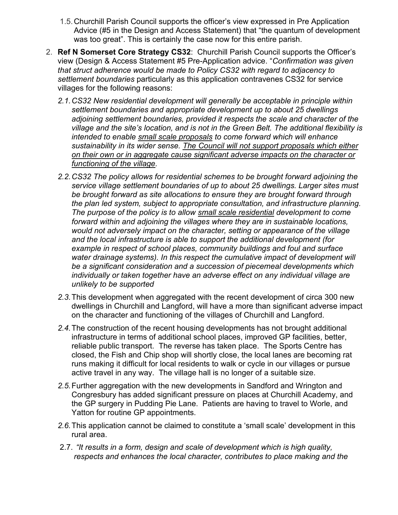- 1.5.Churchill Parish Council supports the officer's view expressed in Pre Application Advice (#5 in the Design and Access Statement) that "the quantum of development was too great". This is certainly the case now for this entire parish.
- 2. **Ref N Somerset Core Strategy CS32**: Churchill Parish Council supports the Officer's view (Design & Access Statement #5 Pre-Application advice. "*Confirmation was given that struct adherence would be made to Policy CS32 with regard to adjacency to settlement boundaries* particularly as this application contravenes CS32 for service villages for the following reasons:
	- *2.1.CS32 New residential development will generally be acceptable in principle within settlement boundaries and appropriate development up to about 25 dwellings adjoining settlement boundaries, provided it respects the scale and character of the village and the site's location, and is not in the Green Belt. The additional flexibility is intended to enable small scale proposals to come forward which will enhance sustainability in its wider sense. The Council will not support proposals which either on their own or in aggregate cause significant adverse impacts on the character or functioning of the village.*
	- *2.2.CS32 The policy allows for residential schemes to be brought forward adjoining the service village settlement boundaries of up to about 25 dwellings. Larger sites must be brought forward as site allocations to ensure they are brought forward through the plan led system, subject to appropriate consultation, and infrastructure planning. The purpose of the policy is to allow small scale residential development to come forward within and adjoining the villages where they are in sustainable locations, would not adversely impact on the character, setting or appearance of the village and the local infrastructure is able to support the additional development (for example in respect of school places, community buildings and foul and surface*  water drainage systems). In this respect the cumulative impact of development will *be a significant consideration and a succession of piecemeal developments which individually or taken together have an adverse effect on any individual village are unlikely to be supported*
	- *2.3.*This development when aggregated with the recent development of circa 300 new dwellings in Churchill and Langford, will have a more than significant adverse impact on the character and functioning of the villages of Churchill and Langford.
	- *2.4.*The construction of the recent housing developments has not brought additional infrastructure in terms of additional school places, improved GP facilities, better, reliable public transport. The reverse has taken place. The Sports Centre has closed, the Fish and Chip shop will shortly close, the local lanes are becoming rat runs making it difficult for local residents to walk or cycle in our villages or pursue active travel in any way. The village hall is no longer of a suitable size.
	- *2.5.*Further aggregation with the new developments in Sandford and Wrington and Congresbury has added significant pressure on places at Churchill Academy, and the GP surgery in Pudding Pie Lane. Patients are having to travel to Worle, and Yatton for routine GP appointments.
	- *2.6.*This application cannot be claimed to constitute a 'small scale' development in this rural area.
	- 2.7. *"It results in a form, design and scale of development which is high quality, respects and enhances the local character, contributes to place making and the*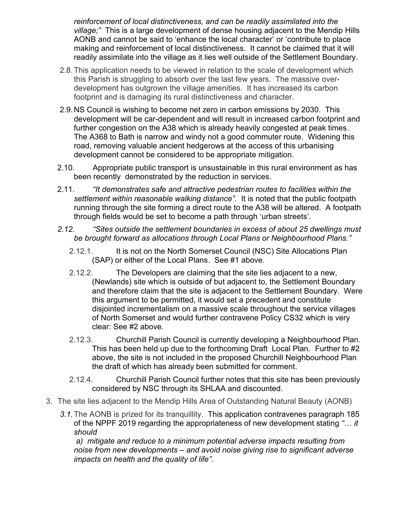*reinforcement of local distinctiveness, and can be readily assimilated into the village;"* This is a large development of dense housing adjacent to the Mendip Hills AONB and cannot be said to 'enhance the local character' or 'contribute to place making and reinforcement of local distinctiveness. It cannot be claimed that it will readily assimilate into the village as it lies well outside of the Settlement Boundary.

- 2.8.This application needs to be viewed in relation to the scale of development which this Parish is struggling to absorb over the last few years. The massive overdevelopment has outgrown the village amenities. It has increased its carbon footprint and is damaging its rural distinctiveness and character.
- 2.9.NS Council is wishing to become net zero in carbon emissions by 2030. This development will be car-dependent and will result in increased carbon footprint and further congestion on the A38 which is already heavily congested at peak times. The A368 to Bath is narrow and windy not a good commuter route. Widening this road, removing valuable ancient hedgerows at the access of this urbanising development cannot be considered to be appropriate mitigation.
- 2.10. Appropriate public transport is unsustainable in this rural environment as has been recently demonstrated by the reduction in services.
- 2.11. *"It demonstrates safe and attractive pedestrian routes to facilities within the settlement within reasonable walking distance".* It is noted that the public footpath running through the site forming a direct route to the A38 will be altered. A footpath through fields would be set to become a path through 'urban streets'.
- *2.12. "Sites outside the settlement boundaries in excess of about 25 dwellings must be brought forward as allocations through Local Plans or Neighbourhood Plans."*
	- 2.12.1. It is not on the North Somerset Council (NSC) Site Allocations Plan (SAP) or either of the Local Plans. See #1 above.
	- 2.12.2. The Developers are claiming that the site lies adjacent to a new, (Newlands) site which is outside of but adjacent to, the Settlement Boundary and therefore claim that the site is adjacent to the Settlement Boundary. Were this argument to be permitted, it would set a precedent and constitute disjointed incrementalism on a massive scale throughout the service villages of North Somerset and would further contravene Policy CS32 which is very clear: See #2 above.
	- 2.12.3. Churchill Parish Council is currently developing a Neighbourhood Plan. This has been held up due to the forthcoming Draft Local Plan. Further to #2 above, the site is not included in the proposed Churchill Neighbourhood Plan the draft of which has already been submitted for comment.
	- 2.12.4. Churchill Parish Council further notes that this site has been previously considered by NSC through its SHLAA and discounted.
- 3. The site lies adjacent to the Mendip Hills Area of Outstanding Natural Beauty (AONB)
	- *3.1.*The AONB is prized for its tranquillity. This application contravenes paragraph 185 of the NPPF 2019 regarding the appropriateness of new development stating *"… it should*

*a) mitigate and reduce to a minimum potential adverse impacts resulting from noise from new developments – and avoid noise giving rise to significant adverse impacts on health and the quality of life".*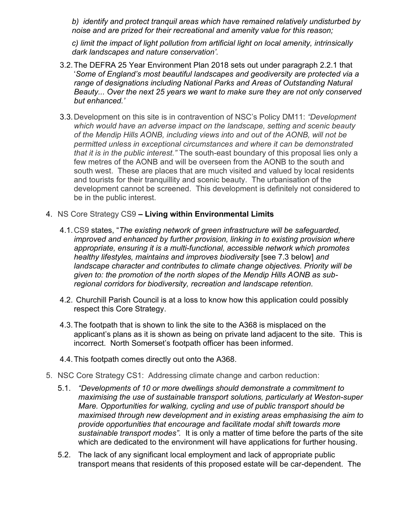*b) identify and protect tranquil areas which have remained relatively undisturbed by noise and are prized for their recreational and amenity value for this reason;* 

*c) limit the impact of light pollution from artificial light on local amenity, intrinsically dark landscapes and nature conservation'.* 

- 3.2.The DEFRA 25 Year Environment Plan 2018 sets out under paragraph 2.2.1 that '*Some of England's most beautiful landscapes and geodiversity are protected via a range of designations including National Parks and Areas of Outstanding Natural Beauty... Over the next 25 years we want to make sure they are not only conserved but enhanced.'*
- 3.3.Development on this site is in contravention of NSC's Policy DM11: *"Development which would have an adverse impact on the landscape, setting and scenic beauty of the Mendip Hills AONB, including views into and out of the AONB, will not be permitted unless in exceptional circumstances and where it can be demonstrated that it is in the public interest."* The south-east boundary of this proposal lies only a few metres of the AONB and will be overseen from the AONB to the south and south west. These are places that are much visited and valued by local residents and tourists for their tranquillity and scenic beauty. The urbanisation of the development cannot be screened. This development is definitely not considered to be in the public interest.
- 4. NS Core Strategy CS9 **– Living within Environmental Limits**
	- 4.1.CS9 states, "*The existing network of green infrastructure will be safeguarded, improved and enhanced by further provision, linking in to existing provision where appropriate, ensuring it is a multi-functional, accessible network which promotes healthy lifestyles, maintains and improves biodiversity* [see 7.3 below] *and landscape character and contributes to climate change objectives. Priority will be given to: the promotion of the north slopes of the Mendip Hills AONB as subregional corridors for biodiversity, recreation and landscape retention.*
	- 4.2. Churchill Parish Council is at a loss to know how this application could possibly respect this Core Strategy.
	- 4.3.The footpath that is shown to link the site to the A368 is misplaced on the applicant's plans as it is shown as being on private land adjacent to the site. This is incorrect. North Somerset's footpath officer has been informed.
	- 4.4.This footpath comes directly out onto the A368.
- 5. NSC Core Strategy CS1: Addressing climate change and carbon reduction:
	- 5.1. *"Developments of 10 or more dwellings should demonstrate a commitment to maximising the use of sustainable transport solutions, particularly at Weston-super Mare. Opportunities for walking, cycling and use of public transport should be maximised through new development and in existing areas emphasising the aim to provide opportunities that encourage and facilitate modal shift towards more sustainable transport modes".* It is only a matter of time before the parts of the site which are dedicated to the environment will have applications for further housing.
	- 5.2. The lack of any significant local employment and lack of appropriate public transport means that residents of this proposed estate will be car-dependent. The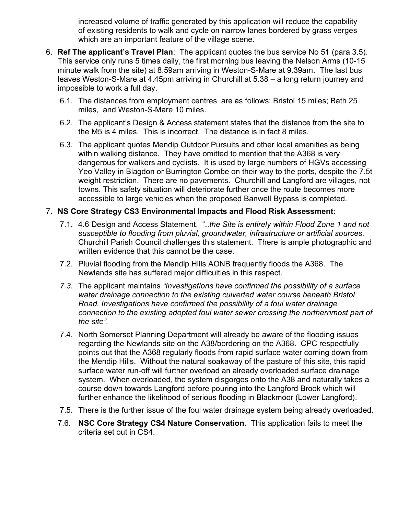increased volume of traffic generated by this application will reduce the capability of existing residents to walk and cycle on narrow lanes bordered by grass verges which are an important feature of the village scene.

- 6. **Ref The applicant's Travel Plan**: The applicant quotes the bus service No 51 (para 3.5). This service only runs 5 times daily, the first morning bus leaving the Nelson Arms (10-15 minute walk from the site) at 8.59am arriving in Weston-S-Mare at 9.39am. The last bus leaves Weston-S-Mare at 4.45pm arriving in Churchill at 5.38 – a long return journey and impossible to work a full day.
	- 6.1. The distances from employment centres are as follows: Bristol 15 miles; Bath 25 miles, and Weston-S-Mare 10 miles.
	- 6.2. The applicant's Design & Access statement states that the distance from the site to the M5 is 4 miles. This is incorrect. The distance is in fact 8 miles.
	- 6.3. The applicant quotes Mendip Outdoor Pursuits and other local amenities as being within walking distance. They have omitted to mention that the A368 is very dangerous for walkers and cyclists. It is used by large numbers of HGVs accessing Yeo Valley in Blagdon or Burrington Combe on their way to the ports, despite the 7.5t weight restriction. There are no pavements. Churchill and Langford are villages, not towns. This safety situation will deteriorate further once the route becomes more accessible to large vehicles when the proposed Banwell Bypass is completed.

### 7. **NS Core Strategy CS3 Environmental Impacts and Flood Risk Assessment**:

- 7.1. 4.6 Design and Access Statement, "..*the Site is entirely within Flood Zone 1 and not susceptible to flooding from pluvial, groundwater, infrastructure or artificial sources.*  Churchill Parish Council challenges this statement. There is ample photographic and written evidence that this cannot be the case.
- 7.2. Pluvial flooding from the Mendip Hills AONB frequently floods the A368. The Newlands site has suffered major difficulties in this respect.
- *7.3.* The applicant maintains *"Investigations have confirmed the possibility of a surface water drainage connection to the existing culverted water course beneath Bristol Road. Investigations have confirmed the possibility of a foul water drainage connection to the existing adopted foul water sewer crossing the northernmost part of the site".*
- 7.4. North Somerset Planning Department will already be aware of the flooding issues regarding the Newlands site on the A38/bordering on the A368. CPC respectfully points out that the A368 regularly floods from rapid surface water coming down from the Mendip Hills. Without the natural soakaway of the pasture of this site, this rapid surface water run-off will further overload an already overloaded surface drainage system. When overloaded, the system disgorges onto the A38 and naturally takes a course down towards Langford before pouring into the Langford Brook which will further enhance the likelihood of serious flooding in Blackmoor (Lower Langford).
- 7.5. There is the further issue of the foul water drainage system being already overloaded.
- 7.6. **NSC Core Strategy CS4 Nature Conservation**. This application fails to meet the criteria set out in CS4.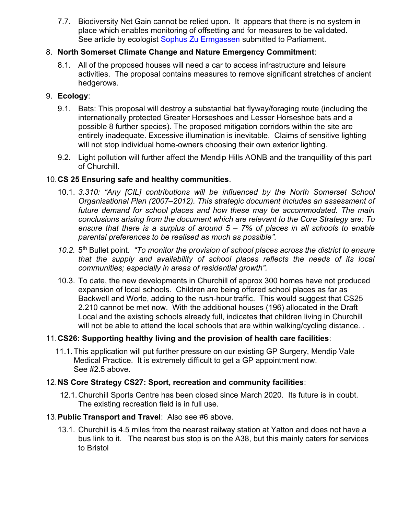7.7. Biodiversity Net Gain cannot be relied upon. It appears that there is no system in place which enables monitoring of offsetting and for measures to be validated. See article by ecologist [Sophus Zu Ermgassen](about:blank) submitted to Parliament.

### 8. **North Somerset Climate Change and Nature Emergency Commitment**:

8.1. All of the proposed houses will need a car to access infrastructure and leisure activities. The proposal contains measures to remove significant stretches of ancient hedgerows.

#### 9. **Ecology**:

- 9.1. Bats: This proposal will destroy a substantial bat flyway/foraging route (including the internationally protected Greater Horseshoes and Lesser Horseshoe bats and a possible 8 further species). The proposed mitigation corridors within the site are entirely inadequate. Excessive illumination is inevitable. Claims of sensitive lighting will not stop individual home-owners choosing their own exterior lighting.
- 9.2. Light pollution will further affect the Mendip Hills AONB and the tranquillity of this part of Churchill.

#### 10.**CS 25 Ensuring safe and healthy communities**.

- 10.1. *3.310: "Any [CIL] contributions will be influenced by the North Somerset School Organisational Plan (2007–2012). This strategic document includes an assessment of future demand for school places and how these may be accommodated. The main conclusions arising from the document which are relevant to the Core Strategy are: To ensure that there is a surplus of around 5 – 7% of places in all schools to enable parental preferences to be realised as much as possible".*
- 10.2. 5<sup>th</sup> Bullet point. *"To monitor the provision of school places across the district to ensure that the supply and availability of school places reflects the needs of its local communities; especially in areas of residential growth".*
- 10.3. To date, the new developments in Churchill of approx 300 homes have not produced expansion of local schools. Children are being offered school places as far as Backwell and Worle, adding to the rush-hour traffic. This would suggest that CS25 2.210 cannot be met now. With the additional houses (196) allocated in the Draft Local and the existing schools already full, indicates that children living in Churchill will not be able to attend the local schools that are within walking/cycling distance..

#### 11.**CS26: Supporting healthy living and the provision of health care facilities**:

11.1.This application will put further pressure on our existing GP Surgery, Mendip Vale Medical Practice. It is extremely difficult to get a GP appointment now. See #2.5 above.

#### 12.**NS Core Strategy CS27: Sport, recreation and community facilities**:

- 12.1.Churchill Sports Centre has been closed since March 2020. Its future is in doubt. The existing recreation field is in full use.
- 13.**Public Transport and Travel**: Also see #6 above.
	- 13.1. Churchill is 4.5 miles from the nearest railway station at Yatton and does not have a bus link to it. The nearest bus stop is on the A38, but this mainly caters for services to Bristol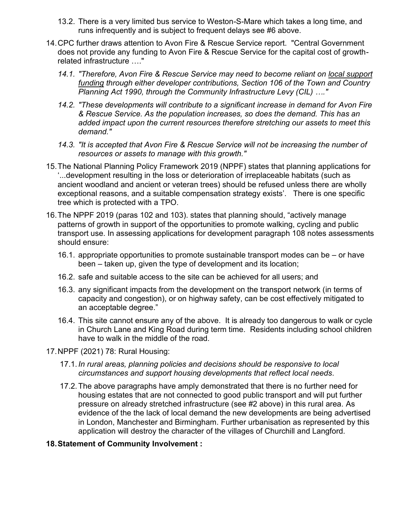- 13.2. There is a very limited bus service to Weston-S-Mare which takes a long time, and runs infrequently and is subject to frequent delays see #6 above.
- 14.CPC further draws attention to Avon Fire & Rescue Service report. "Central Government does not provide any funding to Avon Fire & Rescue Service for the capital cost of growthrelated infrastructure …."
	- *14.1. "Therefore, Avon Fire & Rescue Service may need to become reliant on local support funding through either developer contributions, Section 106 of the Town and Country Planning Act 1990, through the Community Infrastructure Levy (CIL) …."*
	- *14.2. "These developments will contribute to a significant increase in demand for Avon Fire & Rescue Service. As the population increases, so does the demand. This has an added impact upon the current resources therefore stretching our assets to meet this demand."*
	- *14.3. "It is accepted that Avon Fire & Rescue Service will not be increasing the number of resources or assets to manage with this growth."*
- 15.The National Planning Policy Framework 2019 (NPPF) states that planning applications for '...development resulting in the loss or deterioration of irreplaceable habitats (such as ancient woodland and ancient or veteran trees) should be refused unless there are wholly exceptional reasons, and a suitable compensation strategy exists'. There is one specific tree which is protected with a TPO.
- 16.The NPPF 2019 (paras 102 and 103). states that planning should, "actively manage patterns of growth in support of the opportunities to promote walking, cycling and public transport use. In assessing applications for development paragraph 108 notes assessments should ensure:
	- 16.1. appropriate opportunities to promote sustainable transport modes can be or have been – taken up, given the type of development and its location;
	- 16.2. safe and suitable access to the site can be achieved for all users; and
	- 16.3. any significant impacts from the development on the transport network (in terms of capacity and congestion), or on highway safety, can be cost effectively mitigated to an acceptable degree."
	- 16.4. This site cannot ensure any of the above. It is already too dangerous to walk or cycle in Church Lane and King Road during term time. Residents including school children have to walk in the middle of the road.
- 17.NPPF (2021) 78: Rural Housing:
	- 17.1. *In rural areas, planning policies and decisions should be responsive to local circumstances and support housing developments that reflect local needs*.
	- 17.2.The above paragraphs have amply demonstrated that there is no further need for housing estates that are not connected to good public transport and will put further pressure on already stretched infrastructure (see #2 above) in this rural area. As evidence of the the lack of local demand the new developments are being advertised in London, Manchester and Birmingham. Further urbanisation as represented by this application will destroy the character of the villages of Churchill and Langford.

## **18.Statement of Community Involvement :**